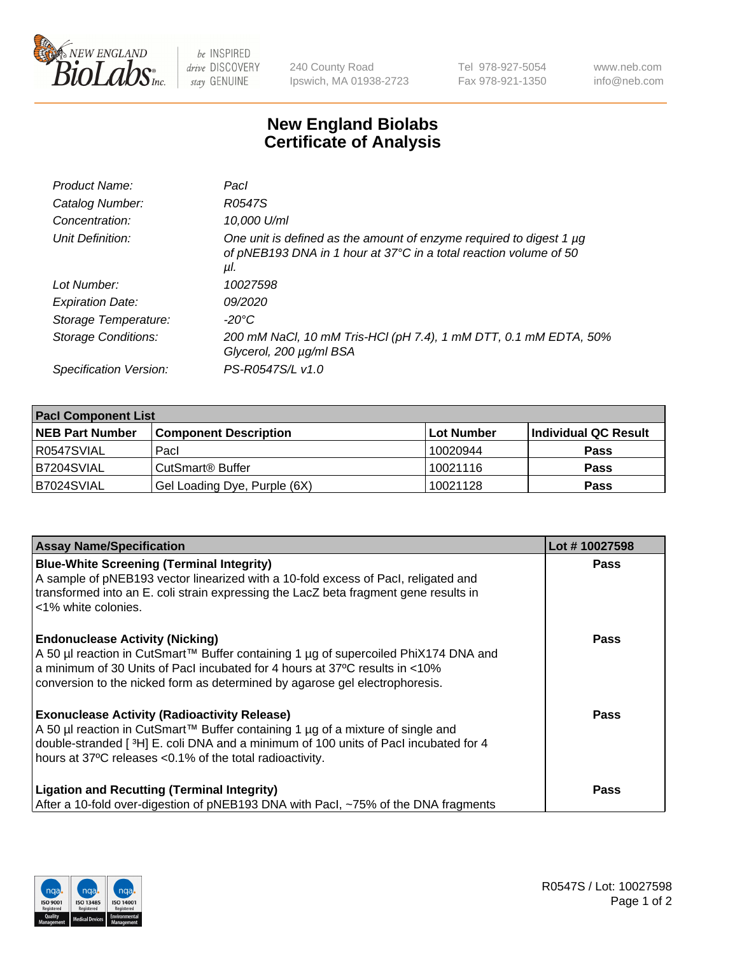

 $be$  INSPIRED drive DISCOVERY stay GENUINE

240 County Road Ipswich, MA 01938-2723 Tel 978-927-5054 Fax 978-921-1350 www.neb.com info@neb.com

## **New England Biolabs Certificate of Analysis**

| R0547S                                                                                                                                          |
|-------------------------------------------------------------------------------------------------------------------------------------------------|
| 10,000 U/ml                                                                                                                                     |
| One unit is defined as the amount of enzyme required to digest 1 µg<br>of pNEB193 DNA in 1 hour at 37°C in a total reaction volume of 50<br>μl. |
| 10027598                                                                                                                                        |
| 09/2020                                                                                                                                         |
| $-20^{\circ}$ C                                                                                                                                 |
| 200 mM NaCl, 10 mM Tris-HCl (pH 7.4), 1 mM DTT, 0.1 mM EDTA, 50%<br>Glycerol, 200 µg/ml BSA                                                     |
| PS-R0547S/L v1.0                                                                                                                                |
|                                                                                                                                                 |

| <b>Pacl Component List</b> |                              |                   |                      |  |  |
|----------------------------|------------------------------|-------------------|----------------------|--|--|
| <b>NEB Part Number</b>     | <b>Component Description</b> | <b>Lot Number</b> | Individual QC Result |  |  |
| R0547SVIAL                 | Pacl                         | 10020944          | <b>Pass</b>          |  |  |
| B7204SVIAL                 | l CutSmart® Buffer           | 10021116          | <b>Pass</b>          |  |  |
| B7024SVIAL                 | Gel Loading Dye, Purple (6X) | 10021128          | <b>Pass</b>          |  |  |

| <b>Assay Name/Specification</b>                                                                                                                                                                                                                                                             | Lot #10027598 |
|---------------------------------------------------------------------------------------------------------------------------------------------------------------------------------------------------------------------------------------------------------------------------------------------|---------------|
| <b>Blue-White Screening (Terminal Integrity)</b><br>A sample of pNEB193 vector linearized with a 10-fold excess of Pacl, religated and<br>transformed into an E. coli strain expressing the LacZ beta fragment gene results in<br><1% white colonies.                                       | <b>Pass</b>   |
| <b>Endonuclease Activity (Nicking)</b><br>A 50 µl reaction in CutSmart™ Buffer containing 1 µg of supercoiled PhiX174 DNA and<br>a minimum of 30 Units of Pacl incubated for 4 hours at 37°C results in <10%<br>conversion to the nicked form as determined by agarose gel electrophoresis. | Pass          |
| <b>Exonuclease Activity (Radioactivity Release)</b><br>A 50 µl reaction in CutSmart™ Buffer containing 1 µg of a mixture of single and<br>double-stranded [3H] E. coli DNA and a minimum of 100 units of Pacl incubated for 4<br>hours at 37°C releases <0.1% of the total radioactivity.   | <b>Pass</b>   |
| <b>Ligation and Recutting (Terminal Integrity)</b><br>After a 10-fold over-digestion of pNEB193 DNA with Pacl, ~75% of the DNA fragments                                                                                                                                                    | Pass          |